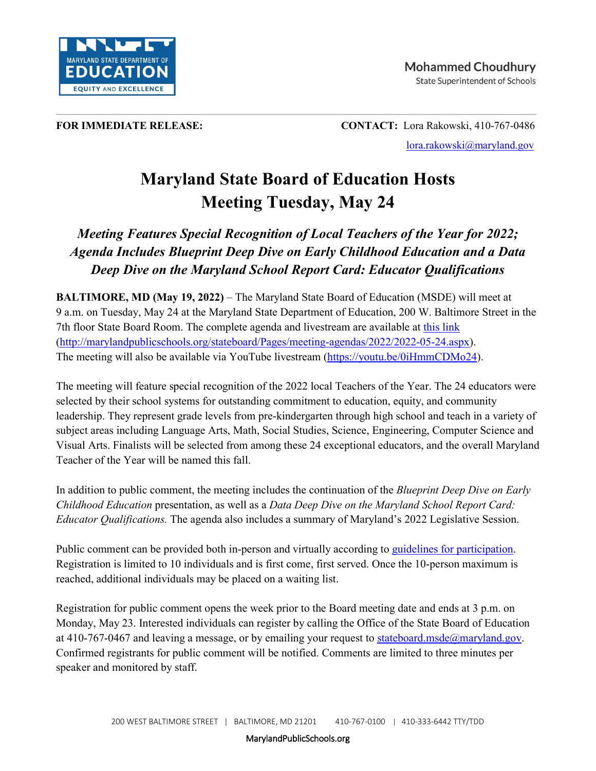

**FOR IMMEDIATE RELEASE: CONTACT:** Lora Rakowski, 410-767-0486 [lora.rakowski@maryland.gov](mailto:lora.rakowski@maryland.gov)

## **Maryland State Board of Education Hosts Meeting Tuesday, May 24**

*Meeting Features Special Recognition of Local Teachers of the Year for 2022; Agenda Includes Blueprint Deep Dive on Early Childhood Education and a Data Deep Dive on the Maryland School Report Card: Educator Qualifications*

**BALTIMORE, MD (May 19, 2022)** – The Maryland State Board of Education (MSDE) will meet at 9 a.m. on Tuesday, May 24 at the Maryland State Department of Education, 200 W. Baltimore Street in the 7th floor State Board Room. The complete agenda and livestream are available at [this link](https://www.marylandpublicschools.org/stateboard/Pages/meeting-agendas/2022/2022-05-24.aspx) [\(http://marylandpublicschools.org/stateboard/Pages/meeting-agendas/2022/2022-05-24.aspx\)](http://marylandpublicschools.org/stateboard/Pages/meeting-agendas/2022/2022-05-24.aspx). The meeting will also be available via YouTube livestream [\(https://youtu.be/0iHmmCDMo24\)](https://youtu.be/0iHmmCDMo24).

The meeting will feature special recognition of the 2022 local Teachers of the Year. The 24 educators were selected by their school systems for outstanding commitment to education, equity, and community leadership. They represent grade levels from pre-kindergarten through high school and teach in a variety of subject areas including Language Arts, Math, Social Studies, Science, Engineering, Computer Science and Visual Arts. Finalists will be selected from among these 24 exceptional educators, and the overall Maryland Teacher of the Year will be named this fall.

In addition to public comment, the meeting includes the continuation of the *Blueprint Deep Dive on Early Childhood Education* presentation, as well as a *Data Deep Dive on the Maryland School Report Card: Educator Qualifications.* The agenda also includes a summary of Maryland's 2022 Legislative Session.

Public comment can be provided both in-person and virtually according to [guidelines for participation.](https://marylandpublicschools.org/stateboard/Pages/PublicComment.aspx) Registration is limited to 10 individuals and is first come, first served. Once the 10-person maximum is reached, additional individuals may be placed on a waiting list.

Registration for public comment opens the week prior to the Board meeting date and ends at 3 p.m. on Monday, May 23. Interested individuals can register by calling the Office of the State Board of Education at 410-767-0467 and leaving a message, or by emailing your request to stateboard.msde $@$ maryland.gov. Confirmed registrants for public comment will be notified. Comments are limited to three minutes per speaker and monitored by staff.